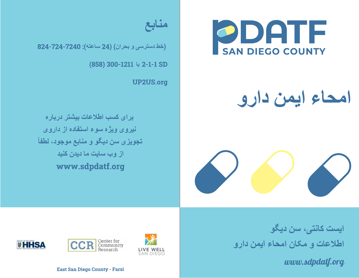

## **امحاء ایمن دارو**





(**خط دسترسی و بحران**) (24 **ساعتھ**): 824-724-7240

(858) 300-1211 2-1-1 SD **یا**

UP2US.org

**برای کسب اطلاعات بیشتر درباره نیروی ویژه سوء استفاده از داروی تجویزی سن دیگو و منابع موجود، لطفاً از وب سایت ما دیدن کنید** www.sdpdatf.org

> **ایست کانتی، سن دیگو اطلاعات <sup>و</sup> مکان امحاء ایمن دارو**

> > *www.sdpdatf.org*







East San Diego County - Farsi